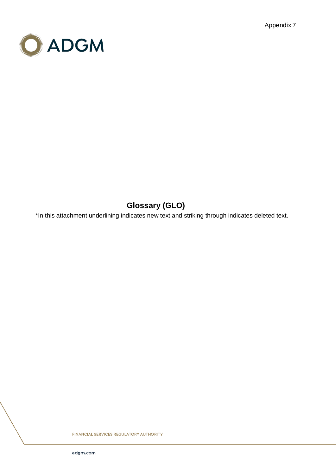Appendix 7



## **Glossary (GLO)**

\*In this attachment underlining indicates new text and striking through indicates deleted text.

**FINANCIAL SERVICES REGULATORY AUTHORITY**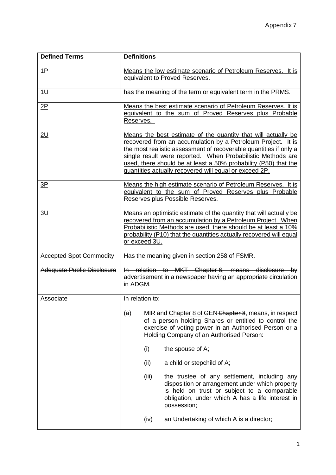| <b>Defined Terms</b>              | <b>Definitions</b> |                                                                                                                                                                                                                                                                                                                                                                                                |
|-----------------------------------|--------------------|------------------------------------------------------------------------------------------------------------------------------------------------------------------------------------------------------------------------------------------------------------------------------------------------------------------------------------------------------------------------------------------------|
| <u>1P</u>                         |                    | Means the low estimate scenario of Petroleum Reserves. It is<br>equivalent to Proved Reserves.                                                                                                                                                                                                                                                                                                 |
| 1U                                |                    | has the meaning of the term or equivalent term in the PRMS.                                                                                                                                                                                                                                                                                                                                    |
| 2P                                | Reserves.          | Means the best estimate scenario of Petroleum Reserves. It is<br>equivalent to the sum of Proved Reserves plus Probable                                                                                                                                                                                                                                                                        |
| <u>2U</u>                         |                    | Means the best estimate of the quantity that will actually be<br>recovered from an accumulation by a Petroleum Project. It is<br>the most realistic assessment of recoverable quantities if only a<br>single result were reported. When Probabilistic Methods are<br>used, there should be at least a 50% probability (P50) that the<br>quantities actually recovered will equal or exceed 2P. |
| 3P                                |                    | Means the high estimate scenario of Petroleum Reserves. It is<br>equivalent to the sum of Proved Reserves plus Probable<br>Reserves plus Possible Reserves.                                                                                                                                                                                                                                    |
| 3U                                | or exceed 3U.      | Means an optimistic estimate of the quantity that will actually be<br>recovered from an accumulation by a Petroleum Project. When<br>Probabilistic Methods are used, there should be at least a 10%<br>probability (P10) that the quantities actually recovered will equal                                                                                                                     |
| <b>Accepted Spot Commodity</b>    |                    | Has the meaning given in section 258 of FSMR.                                                                                                                                                                                                                                                                                                                                                  |
| <b>Adequate Public Disclosure</b> | in ADGM.           | In relation to MKT Chapter 6, means disclosure by<br>advertisement in a newspaper having an appropriate circulation                                                                                                                                                                                                                                                                            |
| Associate                         | In relation to:    |                                                                                                                                                                                                                                                                                                                                                                                                |
|                                   | (a)                | MIR and Chapter 8 of GEN Chapter 8, means, in respect<br>of a person holding Shares or entitled to control the<br>exercise of voting power in an Authorised Person or a<br>Holding Company of an Authorised Person:                                                                                                                                                                            |
|                                   | (i)                | the spouse of A;                                                                                                                                                                                                                                                                                                                                                                               |
|                                   | (ii)               | a child or stepchild of A;                                                                                                                                                                                                                                                                                                                                                                     |
|                                   | (iii)              | the trustee of any settlement, including any<br>disposition or arrangement under which property<br>is held on trust or subject to a comparable<br>obligation, under which A has a life interest in<br>possession;                                                                                                                                                                              |
|                                   | (iv)               | an Undertaking of which A is a director;                                                                                                                                                                                                                                                                                                                                                       |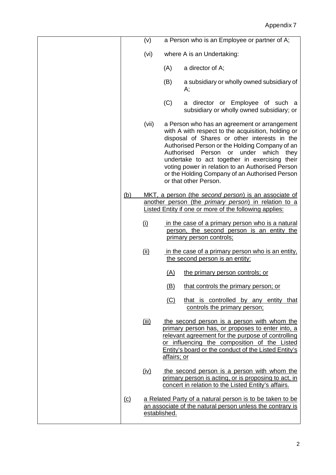|            | (v)          |             | a Person who is an Employee or partner of A;                                                                                                                                                                                                                                                                                                                                                                                              |
|------------|--------------|-------------|-------------------------------------------------------------------------------------------------------------------------------------------------------------------------------------------------------------------------------------------------------------------------------------------------------------------------------------------------------------------------------------------------------------------------------------------|
|            | (vi)         |             | where A is an Undertaking:                                                                                                                                                                                                                                                                                                                                                                                                                |
|            |              | (A)         | a director of A;                                                                                                                                                                                                                                                                                                                                                                                                                          |
|            |              | (B)         | a subsidiary or wholly owned subsidiary of<br>А;                                                                                                                                                                                                                                                                                                                                                                                          |
|            |              | (C)         | a director or Employee of such a<br>subsidiary or wholly owned subsidiary; or                                                                                                                                                                                                                                                                                                                                                             |
|            | (vii)        |             | a Person who has an agreement or arrangement<br>with A with respect to the acquisition, holding or<br>disposal of Shares or other interests in the<br>Authorised Person or the Holding Company of an<br>Person or<br>under<br>Authorised<br>which<br>they<br>undertake to act together in exercising their<br>voting power in relation to an Authorised Person<br>or the Holding Company of an Authorised Person<br>or that other Person. |
| <u>(b)</u> |              |             | MKT, a person (the second person) is an associate of<br>another person (the primary person) in relation to a<br><b>Listed Entity if one or more of the following applies:</b>                                                                                                                                                                                                                                                             |
|            | (i)          |             | in the case of a primary person who is a natural<br>person, the second person is an entity the<br>primary person controls;                                                                                                                                                                                                                                                                                                                |
|            | <u>(ii)</u>  |             | in the case of a primary person who is an entity.<br>the second person is an entity:                                                                                                                                                                                                                                                                                                                                                      |
|            |              | (A)         | the primary person controls; or                                                                                                                                                                                                                                                                                                                                                                                                           |
|            |              | (B)         | that controls the primary person; or                                                                                                                                                                                                                                                                                                                                                                                                      |
|            |              | (C)         | that is controlled by any entity that<br>controls the primary person;                                                                                                                                                                                                                                                                                                                                                                     |
|            | (iii)        | affairs; or | the second person is a person with whom the<br>primary person has, or proposes to enter into, a<br>relevant agreement for the purpose of controlling<br>or influencing the composition of the Listed<br>Entity's board or the conduct of the Listed Entity's                                                                                                                                                                              |
|            | <u>(iv)</u>  |             | the second person is a person with whom the<br>primary person is acting, or is proposing to act, in<br>concert in relation to the Listed Entity's affairs.                                                                                                                                                                                                                                                                                |
| (c)        | established. |             | a Related Party of a natural person is to be taken to be<br>an associate of the natural person unless the contrary is                                                                                                                                                                                                                                                                                                                     |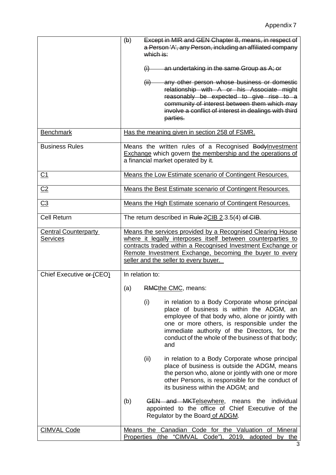|                                                | Except in MIR and GEN Chapter 8, means, in respect of<br>(b)<br>a Person 'A', any Person, including an affiliated company<br>which is:                                                                                                                                                                               |
|------------------------------------------------|----------------------------------------------------------------------------------------------------------------------------------------------------------------------------------------------------------------------------------------------------------------------------------------------------------------------|
|                                                | an undertaking in the same Group as A; or<br>(i)                                                                                                                                                                                                                                                                     |
|                                                | any other person whose business or domestic<br>(ii)<br>relationship with A or his Associate might<br>reasonably be expected to give rise to a<br>community of interest between them which may<br>involve a conflict of interest in dealings with third<br>parties.                                                   |
| <b>Benchmark</b>                               | Has the meaning given in section 258 of FSMR.                                                                                                                                                                                                                                                                        |
| <b>Business Rules</b>                          | Means the written rules of a Recognised Bodylnvestment<br><b>Exchange</b> which govern the membership and the operations of<br>a financial market operated by it.                                                                                                                                                    |
| C <sub>1</sub>                                 | Means the Low Estimate scenario of Contingent Resources.                                                                                                                                                                                                                                                             |
| C <sub>2</sub>                                 | Means the Best Estimate scenario of Contingent Resources.                                                                                                                                                                                                                                                            |
| C <sub>3</sub>                                 | Means the High Estimate scenario of Contingent Resources.                                                                                                                                                                                                                                                            |
| <b>Cell Return</b>                             | The return described in Rule 2CIB 2.3.5(4) of CIB.                                                                                                                                                                                                                                                                   |
| <b>Central Counterparty</b><br><b>Services</b> | Means the services provided by a Recognised Clearing House<br>where it legally interposes itself between counterparties to<br>contracts traded within a Recognised Investment Exchange or<br>Remote Investment Exchange, becoming the buyer to every<br>seller and the seller to every buyer.                        |
| Chief Executive er (CEO)                       | In relation to:                                                                                                                                                                                                                                                                                                      |
|                                                | RMGthe CMC, means:<br>(a)                                                                                                                                                                                                                                                                                            |
|                                                | (i)<br>in relation to a Body Corporate whose principal<br>place of business is within the ADGM, an<br>employee of that body who, alone or jointly with<br>one or more others, is responsible under the<br>immediate authority of the Directors, for the<br>conduct of the whole of the business of that body;<br>and |
|                                                | (ii)<br>in relation to a Body Corporate whose principal<br>place of business is outside the ADGM, means<br>the person who, alone or jointly with one or more<br>other Persons, is responsible for the conduct of<br>its business within the ADGM; and                                                                |
|                                                | (b)<br><b>GEN and MKTelsewhere, means the individual</b><br>appointed to the office of Chief Executive of the<br>Regulator by the Board of ADGM.                                                                                                                                                                     |
| <b>CIMVAL Code</b>                             | Means the Canadian Code for the Valuation of<br>Mineral<br>Properties (the "CIMVAL Code"), 2019, adopted<br>by the                                                                                                                                                                                                   |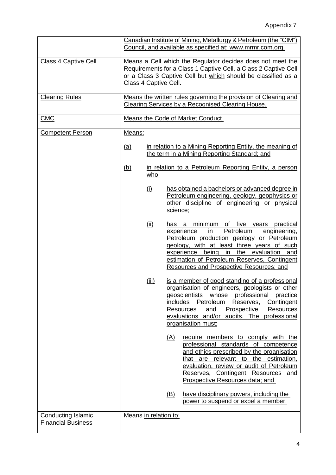|                                                        |                       |             | Canadian Institute of Mining, Metallurgy & Petroleum (the "CIM")                                                                                                                                                                                                                                                                          |
|--------------------------------------------------------|-----------------------|-------------|-------------------------------------------------------------------------------------------------------------------------------------------------------------------------------------------------------------------------------------------------------------------------------------------------------------------------------------------|
|                                                        |                       |             | Council, and available as specified at: www.mrmr.com.org.                                                                                                                                                                                                                                                                                 |
| Class 4 Captive Cell                                   |                       |             | Means a Cell which the Regulator decides does not meet the<br>Requirements for a Class 1 Captive Cell, a Class 2 Captive Cell<br>or a Class 3 Captive Cell but which should be classified as a<br>Class 4 Captive Cell.                                                                                                                   |
| <b>Clearing Rules</b>                                  |                       |             | Means the written rules governing the provision of Clearing and<br>Clearing Services by a Recognised Clearing House.                                                                                                                                                                                                                      |
| <b>CMC</b>                                             |                       |             | Means the Code of Market Conduct                                                                                                                                                                                                                                                                                                          |
| <b>Competent Person</b>                                | Means:                |             |                                                                                                                                                                                                                                                                                                                                           |
|                                                        | <u>(a)</u>            |             | in relation to a Mining Reporting Entity, the meaning of<br>the term in a Mining Reporting Standard; and                                                                                                                                                                                                                                  |
|                                                        | <u>(b)</u>            | who:        | in relation to a Petroleum Reporting Entity, a person                                                                                                                                                                                                                                                                                     |
|                                                        |                       | (i)         | has obtained a bachelors or advanced degree in<br>Petroleum engineering, geology, geophysics or<br>other discipline of engineering or physical<br>science;                                                                                                                                                                                |
|                                                        |                       | <u>(ii)</u> | minimum<br>of five years practical<br>has a<br>Petroleum<br>experience<br>in<br>engineering,<br>Petroleum production geology or Petroleum<br>geology, with at least three years of such<br>experience<br>being<br>the evaluation<br>in<br>and<br>estimation of Petroleum Reserves, Contingent<br>Resources and Prospective Resources; and |
|                                                        |                       | (iii)       | is a member of good standing of a professional<br>organisation of engineers, geologists or other<br>professional<br>geoscientists whose<br>practice<br>Petroleum<br>Contingent<br>includes<br>Reserves,<br>and<br>Prospective<br>Resources<br>Resources<br>evaluations and/or audits. The professional<br>organisation must:              |
|                                                        |                       |             | <u>(A)</u><br>require members to comply with the<br>professional standards of competence<br>and ethics prescribed by the organisation<br>that are relevant to the estimation,<br>evaluation, review or audit of Petroleum<br>Reserves, Contingent Resources and<br>Prospective Resources data; and                                        |
|                                                        |                       |             | <u>(B)</u><br>have disciplinary powers, including the<br>power to suspend or expel a member.                                                                                                                                                                                                                                              |
| <b>Conducting Islamic</b><br><b>Financial Business</b> | Means in relation to: |             |                                                                                                                                                                                                                                                                                                                                           |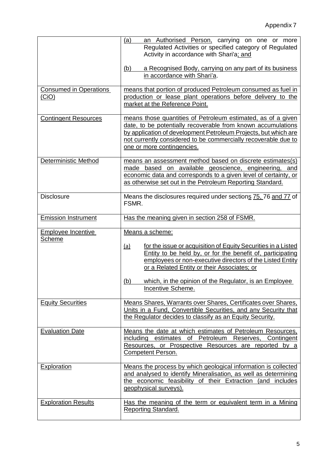|                                        | (a)<br>an Authorised Person, carrying on one or more<br>Regulated Activities or specified category of Regulated<br>Activity in accordance with Shari'a; and<br>a Recognised Body, carrying on any part of its business<br>(b)<br>in accordance with Shari'a.                                                                                                   |
|----------------------------------------|----------------------------------------------------------------------------------------------------------------------------------------------------------------------------------------------------------------------------------------------------------------------------------------------------------------------------------------------------------------|
| <b>Consumed in Operations</b><br>(CiO) | means that portion of produced Petroleum consumed as fuel in<br>production or lease plant operations before delivery to the<br>market at the Reference Point.                                                                                                                                                                                                  |
| <b>Contingent Resources</b>            | means those quantities of Petroleum estimated, as of a given<br>date, to be potentially recoverable from known accumulations<br>by application of development Petroleum Projects, but which are<br>not currently considered to be commercially recoverable due to<br>one or more contingencies.                                                                |
| <b>Deterministic Method</b>            | means an assessment method based on discrete estimates(s)<br>made based on available geoscience, engineering, and<br>economic data and corresponds to a given level of certainty, or<br>as otherwise set out in the Petroleum Reporting Standard.                                                                                                              |
| <b>Disclosure</b>                      | Means the disclosures required under sections 75, 76 and 77 of<br>FSMR.                                                                                                                                                                                                                                                                                        |
| <b>Emission Instrument</b>             | Has the meaning given in section 258 of FSMR.                                                                                                                                                                                                                                                                                                                  |
|                                        |                                                                                                                                                                                                                                                                                                                                                                |
| <b>Employee Incentive</b><br>Scheme    | Means a scheme:<br>for the issue or acquisition of Equity Securities in a Listed<br><u>(a)</u><br>Entity to be held by, or for the benefit of, participating<br>employees or non-executive directors of the Listed Entity<br>or a Related Entity or their Associates; or<br>which, in the opinion of the Regulator, is an Employee<br>(b)<br>Incentive Scheme. |
| <b>Equity Securities</b>               | Means Shares, Warrants over Shares, Certificates over Shares,<br>Units in a Fund, Convertible Securities, and any Security that<br>the Regulator decides to classify as an Equity Security.                                                                                                                                                                    |
| <b>Evaluation Date</b>                 | Means the date at which estimates of Petroleum Resources,<br>including estimates of Petroleum Reserves, Contingent<br>Resources, or Prospective Resources are reported by a<br><b>Competent Person.</b>                                                                                                                                                        |
| Exploration                            | Means the process by which geological information is collected<br>and analysed to identify Mineralisation, as well as determining<br>the economic feasibility of their Extraction (and includes<br>geophysical surveys).                                                                                                                                       |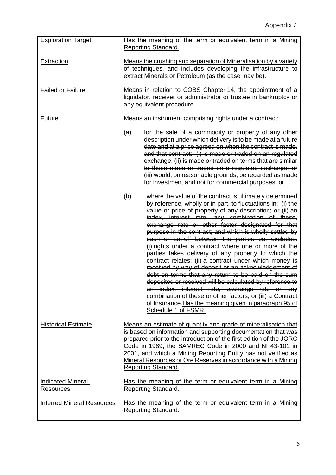| <b>Exploration Target</b>             | Has the meaning of the term or equivalent term in a Mining<br>Reporting Standard.                                                                                                                                                                                                                                                                                                                                                                                                                                                                                                                                                                                                                                                                                                                                                                                                                                                                                            |
|---------------------------------------|------------------------------------------------------------------------------------------------------------------------------------------------------------------------------------------------------------------------------------------------------------------------------------------------------------------------------------------------------------------------------------------------------------------------------------------------------------------------------------------------------------------------------------------------------------------------------------------------------------------------------------------------------------------------------------------------------------------------------------------------------------------------------------------------------------------------------------------------------------------------------------------------------------------------------------------------------------------------------|
| Extraction                            | Means the crushing and separation of Mineralisation by a variety<br>of techniques, and includes developing the infrastructure to<br>extract Minerals or Petroleum (as the case may be).                                                                                                                                                                                                                                                                                                                                                                                                                                                                                                                                                                                                                                                                                                                                                                                      |
| <b>Failed or Failure</b>              | Means in relation to COBS Chapter 14, the appointment of a<br>liquidator, receiver or administrator or trustee in bankruptcy or<br>any equivalent procedure.                                                                                                                                                                                                                                                                                                                                                                                                                                                                                                                                                                                                                                                                                                                                                                                                                 |
| Future                                | Means an instrument comprising rights under a contract:                                                                                                                                                                                                                                                                                                                                                                                                                                                                                                                                                                                                                                                                                                                                                                                                                                                                                                                      |
|                                       | for the sale of a commodity or property of any other<br>(a)<br>description under which delivery is to be made at a future<br>date and at a price agreed on when the contract is made,<br>and that contract: (i) is made or traded on an regulated<br>exchange; (ii) is made or traded on terms that are similar<br>to those made or traded on a regulated exchange; or<br>(iii) would, on reasonable grounds, be regarded as made<br>for investment and not for commercial purposes; or                                                                                                                                                                                                                                                                                                                                                                                                                                                                                      |
|                                       | where the value of the contract is ultimately determined<br>$\Theta$<br>by reference, wholly or in part, to fluctuations in: (i) the<br>value or price of property of any description; or (ii) an<br>index, interest rate, any combination of these,<br>exchange rate or other factor designated for that<br>purpose in the contract; and which is wholly settled by<br>cash or set-off between the parties but excludes:<br>(i) rights under a contract where one or more of the<br>parties takes delivery of any property to which the<br>contract relates; (ii) a contract under which money is<br>received by way of deposit or an acknowledgement of<br>debt on terms that any return to be paid on the sum<br>deposited or received will be calculated by reference to<br>an index, interest rate, exchange rate or any<br>combination of these or other factors; or (iii) a Contract<br>of Insurance. Has the meaning given in paragraph 95 of<br>Schedule 1 of FSMR. |
| <b>Historical Estimate</b>            | Means an estimate of quantity and grade of mineralisation that<br>is based on information and supporting documentation that was<br>prepared prior to the introduction of the first edition of the JORC<br>Code in 1989, the SAMREC Code in 2000 and NI 43-101 in<br>2001, and which a Mining Reporting Entity has not verified as<br>Mineral Resources or Ore Reserves in accordance with a Mining<br><b>Reporting Standard.</b>                                                                                                                                                                                                                                                                                                                                                                                                                                                                                                                                             |
| <b>Indicated Mineral</b><br>Resources | Has the meaning of the term or equivalent term in a Mining<br>Reporting Standard.                                                                                                                                                                                                                                                                                                                                                                                                                                                                                                                                                                                                                                                                                                                                                                                                                                                                                            |
| <b>Inferred Mineral Resources</b>     | Has the meaning of the term or equivalent term in a Mining<br><b>Reporting Standard.</b>                                                                                                                                                                                                                                                                                                                                                                                                                                                                                                                                                                                                                                                                                                                                                                                                                                                                                     |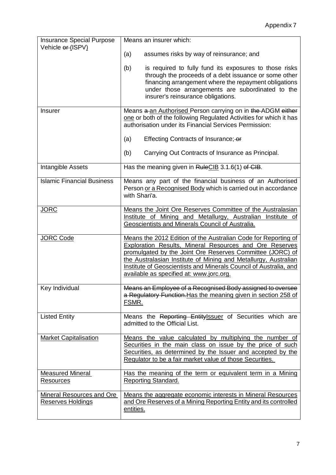| <b>Insurance Special Purpose</b>                      | Means an insurer which:                                                                                                                                                                                                                                                                                                                                                           |
|-------------------------------------------------------|-----------------------------------------------------------------------------------------------------------------------------------------------------------------------------------------------------------------------------------------------------------------------------------------------------------------------------------------------------------------------------------|
| Vehicle or (ISPV)                                     | (a)<br>assumes risks by way of reinsurance; and                                                                                                                                                                                                                                                                                                                                   |
|                                                       | (b)<br>is required to fully fund its exposures to those risks<br>through the proceeds of a debt issuance or some other<br>financing arrangement where the repayment obligations<br>under those arrangements are subordinated to the<br>insurer's reinsurance obligations.                                                                                                         |
| <b>Insurer</b>                                        | Means a an Authorised Person carrying on in the ADGM either<br>one or both of the following Regulated Activities for which it has<br>authorisation under its Financial Services Permission:                                                                                                                                                                                       |
|                                                       | (a)<br>Effecting Contracts of Insurance; or                                                                                                                                                                                                                                                                                                                                       |
|                                                       | (b)<br>Carrying Out Contracts of Insurance as Principal.                                                                                                                                                                                                                                                                                                                          |
| Intangible Assets                                     | Has the meaning given in RuleCIB 3.1.6(1) of CIB.                                                                                                                                                                                                                                                                                                                                 |
| <b>Islamic Financial Business</b>                     | Means any part of the financial business of an Authorised<br>Person or a Recognised Body which is carried out in accordance<br>with Shari'a.                                                                                                                                                                                                                                      |
| <b>JORC</b>                                           | Means the Joint Ore Reserves Committee of the Australasian<br>Institute of Mining and Metallurgy, Australian Institute of<br>Geoscientists and Minerals Council of Australia.                                                                                                                                                                                                     |
| <b>JORC Code</b>                                      | Means the 2012 Edition of the Australian Code for Reporting of<br><b>Exploration Results, Mineral Resources and Ore Reserves</b><br>promulgated by the Joint Ore Reserves Committee (JORC) of<br>the Australasian Institute of Mining and Metallurgy, Australian<br>Institute of Geoscientists and Minerals Council of Australia, and<br>available as specified at: www.jorc.org. |
| Key Individual                                        | Means an Employee of a Recognised Body assigned to oversee<br>a Regulatory Function. Has the meaning given in section 258 of<br>FSMR.                                                                                                                                                                                                                                             |
| <b>Listed Entity</b>                                  | Means the Reporting Entitylssuer of Securities which are<br>admitted to the Official List.                                                                                                                                                                                                                                                                                        |
| <b>Market Capitalisation</b>                          | Means the value calculated by multiplying the number of<br>Securities in the main class on issue by the price of such<br>Securities, as determined by the Issuer and accepted by the<br>Regulator to be a fair market value of those Securities.                                                                                                                                  |
| <b>Measured Mineral</b><br>Resources                  | Has the meaning of the term or equivalent term in a Mining<br>Reporting Standard.                                                                                                                                                                                                                                                                                                 |
| <b>Mineral Resources and Ore</b><br>Reserves Holdings | Means the aggregate economic interests in Mineral Resources<br>and Ore Reserves of a Mining Reporting Entity and its controlled<br>entities.                                                                                                                                                                                                                                      |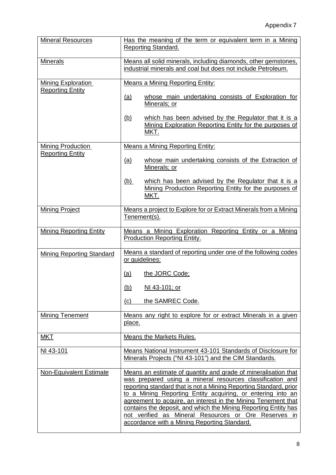| <b>Mineral Resources</b>                             | Has the meaning of the term or equivalent term in a Mining<br>Reporting Standard.                                                                                                                                                                                                                                                                                                                                                                                                                           |  |  |
|------------------------------------------------------|-------------------------------------------------------------------------------------------------------------------------------------------------------------------------------------------------------------------------------------------------------------------------------------------------------------------------------------------------------------------------------------------------------------------------------------------------------------------------------------------------------------|--|--|
| <b>Minerals</b>                                      | Means all solid minerals, including diamonds, other gemstones,<br>industrial minerals and coal but does not include Petroleum.                                                                                                                                                                                                                                                                                                                                                                              |  |  |
| <b>Mining Exploration</b><br><b>Reporting Entity</b> | <b>Means a Mining Reporting Entity:</b><br>whose main undertaking consists of Exploration for<br>(a)<br>Minerals; or                                                                                                                                                                                                                                                                                                                                                                                        |  |  |
|                                                      | which has been advised by the Regulator that it is a<br><u>(b)</u><br>Mining Exploration Reporting Entity for the purposes of<br>MKT.                                                                                                                                                                                                                                                                                                                                                                       |  |  |
| <b>Mining Production</b>                             | Means a Mining Reporting Entity:                                                                                                                                                                                                                                                                                                                                                                                                                                                                            |  |  |
| <b>Reporting Entity</b>                              | <u>(a)</u><br>whose main undertaking consists of the Extraction of<br>Minerals; or                                                                                                                                                                                                                                                                                                                                                                                                                          |  |  |
|                                                      | which has been advised by the Regulator that it is a<br><u>(b)</u><br>Mining Production Reporting Entity for the purposes of<br>MKT.                                                                                                                                                                                                                                                                                                                                                                        |  |  |
| <b>Mining Project</b>                                | Means a project to Explore for or Extract Minerals from a Mining<br>Tenement(s).                                                                                                                                                                                                                                                                                                                                                                                                                            |  |  |
| <b>Mining Reporting Entity</b>                       | Means a Mining Exploration Reporting Entity or a Mining<br>Production Reporting Entity.                                                                                                                                                                                                                                                                                                                                                                                                                     |  |  |
| Mining Reporting Standard                            | Means a standard of reporting under one of the following codes<br>or guidelines:                                                                                                                                                                                                                                                                                                                                                                                                                            |  |  |
|                                                      | the JORC Code;<br><u>(a)</u>                                                                                                                                                                                                                                                                                                                                                                                                                                                                                |  |  |
|                                                      | <u>(b)</u><br>NI 43-101; or                                                                                                                                                                                                                                                                                                                                                                                                                                                                                 |  |  |
|                                                      | the SAMREC Code.<br>(c)                                                                                                                                                                                                                                                                                                                                                                                                                                                                                     |  |  |
| <b>Mining Tenement</b>                               | Means any right to explore for or extract Minerals in a given<br>place.                                                                                                                                                                                                                                                                                                                                                                                                                                     |  |  |
| <b>MKT</b>                                           | Means the Markets Rules.                                                                                                                                                                                                                                                                                                                                                                                                                                                                                    |  |  |
| NI 43-101                                            | Means National Instrument 43-101 Standards of Disclosure for<br>Minerals Projects ("NI 43-101") and the CIM Standards.                                                                                                                                                                                                                                                                                                                                                                                      |  |  |
| Non-Equivalent Estimate                              | Means an estimate of quantity and grade of mineralisation that<br>was prepared using a mineral resources classification and<br>reporting standard that is not a Mining Reporting Standard, prior<br>to a Mining Reporting Entity acquiring, or entering into an<br>agreement to acquire, an interest in the Mining Tenement that<br>contains the deposit, and which the Mining Reporting Entity has<br>not verified as Mineral Resources or Ore Reserves in<br>accordance with a Mining Reporting Standard. |  |  |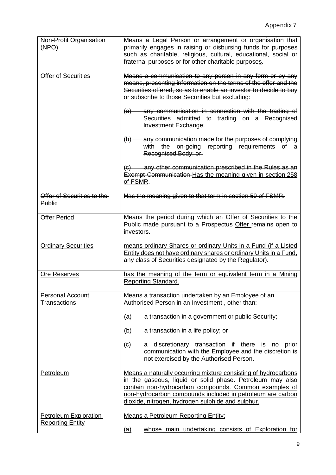| Non-Profit Organisation<br>(NPO)                        | Means a Legal Person or arrangement or organisation that<br>primarily engages in raising or disbursing funds for purposes<br>such as charitable, religious, cultural, educational, social or<br>fraternal purposes or for other charitable purposes.                                                    |
|---------------------------------------------------------|---------------------------------------------------------------------------------------------------------------------------------------------------------------------------------------------------------------------------------------------------------------------------------------------------------|
| <b>Offer of Securities</b>                              | Means a communication to any person in any form or by any<br>means, presenting information on the terms of the offer and the<br>Securities offered, so as to enable an investor to decide to buy<br>or subscribe to those Securities but excluding:                                                     |
|                                                         | any communication in connection with the trading of<br>$\left( a\right)$<br>Securities admitted to trading on a Recognised<br><b>Investment Exchange;</b>                                                                                                                                               |
|                                                         | any communication made for the purposes of complying<br>$\left(\mathsf{b}\right)$<br>with the on-going reporting requirements of a<br>Recognised Body; or                                                                                                                                               |
|                                                         | (c) any other communication prescribed in the Rules as an<br>Exempt Communication Has the meaning given in section 258<br>of FSMR.                                                                                                                                                                      |
| Offer of Securities to the<br><b>Public</b>             | Has the meaning given to that term in section 59 of FSMR.                                                                                                                                                                                                                                               |
| <b>Offer Period</b>                                     | Means the period during which an Offer of Securities to the<br>Public made pursuant to a Prospectus Offer remains open to<br>investors.                                                                                                                                                                 |
| <b>Ordinary Securities</b>                              | means ordinary Shares or ordinary Units in a Fund (if a Listed<br>Entity does not have ordinary shares or ordinary Units in a Fund.<br>any class of Securities designated by the Regulator).                                                                                                            |
| Ore Reserves                                            | has the meaning of the term or equivalent term in a Mining<br>Reporting Standard.                                                                                                                                                                                                                       |
| <b>Personal Account</b><br>Transactions                 | Means a transaction undertaken by an Employee of an<br>Authorised Person in an Investment, other than:                                                                                                                                                                                                  |
|                                                         | (a)<br>a transaction in a government or public Security;                                                                                                                                                                                                                                                |
|                                                         | (b)<br>a transaction in a life policy; or                                                                                                                                                                                                                                                               |
|                                                         | (c)<br>discretionary transaction if there is no<br>prior<br>а<br>communication with the Employee and the discretion is<br>not exercised by the Authorised Person.                                                                                                                                       |
| <b>Petroleum</b>                                        | Means a naturally occurring mixture consisting of hydrocarbons<br>in the gaseous, liquid or solid phase. Petroleum may also<br>contain non-hydrocarbon compounds. Common examples of<br>non-hydrocarbon compounds included in petroleum are carbon<br>dioxide, nitrogen, hydrogen sulphide and sulphur. |
| <b>Petroleum Exploration</b><br><b>Reporting Entity</b> | <b>Means a Petroleum Reporting Entity:</b><br>whose main undertaking consists of Exploration for<br><u>(a)</u>                                                                                                                                                                                          |
|                                                         |                                                                                                                                                                                                                                                                                                         |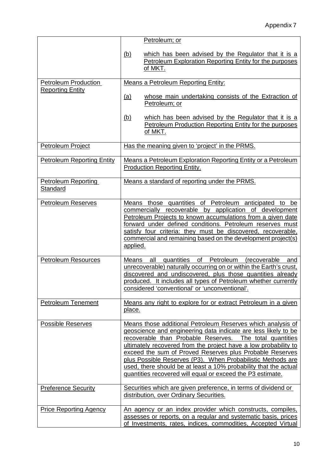|                                                 | Petroleum; or<br>which has been advised by the Regulator that it is a<br><u>(b)</u><br>Petroleum Exploration Reporting Entity for the purposes<br>of MKT.                                                                                                                                                                                                                                                                                                                                                                    |
|-------------------------------------------------|------------------------------------------------------------------------------------------------------------------------------------------------------------------------------------------------------------------------------------------------------------------------------------------------------------------------------------------------------------------------------------------------------------------------------------------------------------------------------------------------------------------------------|
| Petroleum Production<br><b>Reporting Entity</b> | <b>Means a Petroleum Reporting Entity:</b><br>whose main undertaking consists of the Extraction of<br>(a)<br>Petroleum; or                                                                                                                                                                                                                                                                                                                                                                                                   |
|                                                 | <u>(b)</u><br>which has been advised by the Regulator that it is a<br>Petroleum Production Reporting Entity for the purposes<br>of MKT.                                                                                                                                                                                                                                                                                                                                                                                      |
| Petroleum Project                               | Has the meaning given to 'project' in the PRMS.                                                                                                                                                                                                                                                                                                                                                                                                                                                                              |
| <b>Petroleum Reporting Entity</b>               | Means a Petroleum Exploration Reporting Entity or a Petroleum<br><b>Production Reporting Entity.</b>                                                                                                                                                                                                                                                                                                                                                                                                                         |
| <b>Petroleum Reporting</b><br>Standard          | Means a standard of reporting under the PRMS.                                                                                                                                                                                                                                                                                                                                                                                                                                                                                |
| <b>Petroleum Reserves</b>                       | Means those quantities of Petroleum anticipated to be<br>commercially recoverable by application of development<br>Petroleum Projects to known accumulations from a given date<br>forward under defined conditions. Petroleum reserves must<br>satisfy four criteria: they must be discovered, recoverable,<br>commercial and remaining based on the development project(s)<br>applied.                                                                                                                                      |
| <b>Petroleum Resources</b>                      | quantities of Petroleum<br>Means<br>all<br><i>(recoverable)</i><br>and<br>unrecoverable) naturally occurring on or within the Earth's crust,<br>discovered and undiscovered, plus those quantities already<br>produced. It includes all types of Petroleum whether currently<br>considered 'conventional' or 'unconventional'                                                                                                                                                                                                |
| <b>Petroleum Tenement</b>                       | Means any right to explore for or extract Petroleum in a given<br>place.                                                                                                                                                                                                                                                                                                                                                                                                                                                     |
| <b>Possible Reserves</b>                        | Means those additional Petroleum Reserves which analysis of<br>geoscience and engineering data indicate are less likely to be<br>recoverable than Probable Reserves.<br>The total quantities<br>ultimately recovered from the project have a low probability to<br>exceed the sum of Proved Reserves plus Probable Reserves<br>plus Possible Reserves (P3). When Probabilistic Methods are<br>used, there should be at least a 10% probability that the actual<br>quantities recovered will equal or exceed the P3 estimate. |
| <b>Preference Security</b>                      | Securities which are given preference, in terms of dividend or<br>distribution, over Ordinary Securities.                                                                                                                                                                                                                                                                                                                                                                                                                    |
| <b>Price Reporting Agency</b>                   | An agency or an index provider which constructs, compiles,<br>assesses or reports, on a regular and systematic basis, prices<br>of Investments, rates, indices, commodities, Accepted Virtual                                                                                                                                                                                                                                                                                                                                |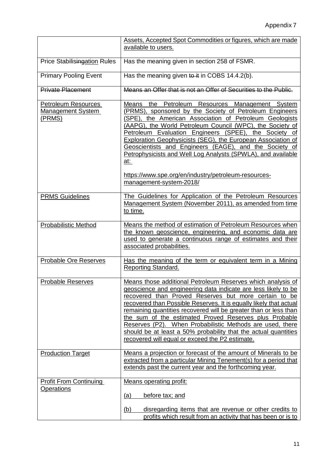|                                                                  | Assets, Accepted Spot Commodities or figures, which are made<br>available to users.                                                                                                                                                                                                                                                                                                                                                                                                                                                                                                       |
|------------------------------------------------------------------|-------------------------------------------------------------------------------------------------------------------------------------------------------------------------------------------------------------------------------------------------------------------------------------------------------------------------------------------------------------------------------------------------------------------------------------------------------------------------------------------------------------------------------------------------------------------------------------------|
| Price Stabilisingation Rules                                     | Has the meaning given in section 258 of FSMR.                                                                                                                                                                                                                                                                                                                                                                                                                                                                                                                                             |
| <b>Primary Pooling Event</b>                                     | Has the meaning given to it in COBS 14.4.2(b).                                                                                                                                                                                                                                                                                                                                                                                                                                                                                                                                            |
| <b>Private Placement</b>                                         | Means an Offer that is not an Offer of Securities to the Public.                                                                                                                                                                                                                                                                                                                                                                                                                                                                                                                          |
| <b>Petroleum Resources</b><br><b>Management System</b><br>(PRMS) | Means<br>the Petroleum Resources Management System<br>(PRMS), sponsored by the Society of Petroleum Engineers<br>(SPE), the American Association of Petroleum Geologists<br>(AAPG), the World Petroleum Council (WPC), the Society of<br>Petroleum Evaluation Engineers (SPEE), the Society of<br>Exploration Geophysicists (SEG), the European Association of<br>Geoscientists and Engineers (EAGE), and the Society of<br>Petrophysicists and Well Log Analysts (SPWLA), and available<br><u>at:</u><br>https://www.spe.org/en/industry/petroleum-resources-<br>management-system-2018/ |
| <b>PRMS Guidelines</b>                                           | The Guidelines for Application of the Petroleum Resources<br>Management System (November 2011), as amended from time<br>to time.                                                                                                                                                                                                                                                                                                                                                                                                                                                          |
| <b>Probabilistic Method</b>                                      | Means the method of estimation of Petroleum Resources when<br>the known geoscience, engineering, and economic data are<br>used to generate a continuous range of estimates and their<br>associated probabilities.                                                                                                                                                                                                                                                                                                                                                                         |
| Probable Ore Reserves                                            | Has the meaning of the term or equivalent term in a Mining<br>Reporting Standard.                                                                                                                                                                                                                                                                                                                                                                                                                                                                                                         |
| <b>Probable Reserves</b>                                         | Means those additional Petroleum Reserves which analysis of<br>geoscience and engineering data indicate are less likely to be<br>recovered than Proved Reserves but more certain to be<br>recovered than Possible Reserves. It is equally likely that actual<br>remaining quantities recovered will be greater than or less than<br>the sum of the estimated Proved Reserves plus Probable<br>Reserves (P2). When Probabilistic Methods are used, there<br>should be at least a 50% probability that the actual quantities<br>recovered will equal or exceed the P2 estimate.             |
| <b>Production Target</b>                                         | Means a projection or forecast of the amount of Minerals to be<br>extracted from a particular Mining Tenement(s) for a period that<br>extends past the current year and the forthcoming year.                                                                                                                                                                                                                                                                                                                                                                                             |
| <b>Profit From Continuing</b><br>Operations                      | <b>Means operating profit:</b><br>before tax; and<br><u>(a)</u>                                                                                                                                                                                                                                                                                                                                                                                                                                                                                                                           |
|                                                                  | (b)<br>disregarding items that are revenue or other credits to<br>profits which result from an activity that has been or is to                                                                                                                                                                                                                                                                                                                                                                                                                                                            |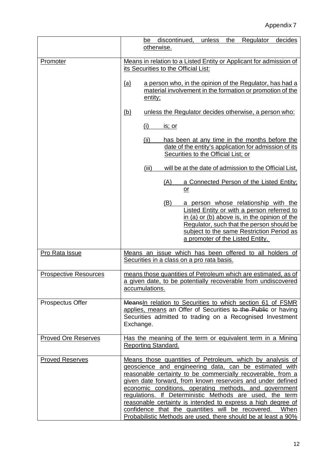|                              | be discontinued,<br>unless<br>the<br>Regulator<br>decides<br>otherwise.                                                                                                                                                                                                                                                                                                                                                                                                                                                                                             |
|------------------------------|---------------------------------------------------------------------------------------------------------------------------------------------------------------------------------------------------------------------------------------------------------------------------------------------------------------------------------------------------------------------------------------------------------------------------------------------------------------------------------------------------------------------------------------------------------------------|
| Promoter                     | Means in relation to a Listed Entity or Applicant for admission of                                                                                                                                                                                                                                                                                                                                                                                                                                                                                                  |
|                              | its Securities to the Official List:                                                                                                                                                                                                                                                                                                                                                                                                                                                                                                                                |
|                              | <u>(a)</u><br>a person who, in the opinion of the Regulator, has had a<br>material involvement in the formation or promotion of the<br>entity;                                                                                                                                                                                                                                                                                                                                                                                                                      |
|                              | <u>(b)</u><br>unless the Regulator decides otherwise, a person who:                                                                                                                                                                                                                                                                                                                                                                                                                                                                                                 |
|                              | (i)<br><u>is; or</u>                                                                                                                                                                                                                                                                                                                                                                                                                                                                                                                                                |
|                              | (ii)<br>has been at any time in the months before the<br>date of the entity's application for admission of its<br>Securities to the Official List; or                                                                                                                                                                                                                                                                                                                                                                                                               |
|                              | will be at the date of admission to the Official List,<br>(iii)                                                                                                                                                                                                                                                                                                                                                                                                                                                                                                     |
|                              | a Connected Person of the Listed Entity;<br>(A)<br>$\overline{\text{or}}$                                                                                                                                                                                                                                                                                                                                                                                                                                                                                           |
|                              | a person whose relationship with the<br>(B)<br>Listed Entity or with a person referred to<br>in (a) or (b) above is, in the opinion of the<br>Regulator, such that the person should be<br>subject to the same Restriction Period as<br>a promoter of the Listed Entity.                                                                                                                                                                                                                                                                                            |
| Pro Rata Issue               | Means an issue which has been offered to all holders of<br>Securities in a class on a pro rata basis.                                                                                                                                                                                                                                                                                                                                                                                                                                                               |
| <b>Prospective Resources</b> | means those quantities of Petroleum which are estimated, as of<br>a given date, to be potentially recoverable from undiscovered<br>accumulations.                                                                                                                                                                                                                                                                                                                                                                                                                   |
| Prospectus Offer             | Meansin relation to Securities to which section 61 of FSMR<br>applies, means an Offer of Securities to the Public or having<br>Securities admitted to trading on a Recognised Investment<br>Exchange.                                                                                                                                                                                                                                                                                                                                                               |
| <b>Proved Ore Reserves</b>   | Has the meaning of the term or equivalent term in a Mining<br><b>Reporting Standard.</b>                                                                                                                                                                                                                                                                                                                                                                                                                                                                            |
| <b>Proved Reserves</b>       | Means those quantities of Petroleum, which by analysis of<br>geoscience and engineering data, can be estimated with<br>reasonable certainty to be commercially recoverable, from a<br>given date forward, from known reservoirs and under defined<br>economic conditions, operating methods, and government<br>regulations. If Deterministic Methods are used, the term<br>reasonable certainty is intended to express a high degree of<br>confidence that the quantities will be recovered. When<br>Probabilistic Methods are used, there should be at least a 90% |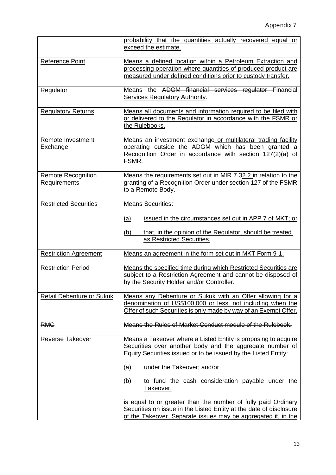|                                           | probability that the quantities actually recovered equal or<br>exceed the estimate.                                                                                                                  |
|-------------------------------------------|------------------------------------------------------------------------------------------------------------------------------------------------------------------------------------------------------|
| Reference Point                           | Means a defined location within a Petroleum Extraction and<br>processing operation where quantities of produced product are<br>measured under defined conditions prior to custody transfer.          |
| Regulator                                 | Means the ADGM financial services regulator Financial<br><b>Services Regulatory Authority.</b>                                                                                                       |
| <b>Regulatory Returns</b>                 | Means all documents and information required to be filed with<br>or delivered to the Regulator in accordance with the FSMR or<br>the Rulebooks.                                                      |
| Remote Investment<br>Exchange             | Means an investment exchange or multilateral trading facility<br>operating outside the ADGM which has been granted a<br>Recognition Order in accordance with section 127(2)(a) of<br>FSMR.           |
| <b>Remote Recognition</b><br>Requirements | Means the requirements set out in MIR 7.32.2 in relation to the<br>granting of a Recognition Order under section 127 of the FSMR<br>to a Remote Body.                                                |
| <b>Restricted Securities</b>              | <b>Means Securities:</b>                                                                                                                                                                             |
|                                           | issued in the circumstances set out in APP 7 of MKT; or<br>(a)                                                                                                                                       |
|                                           | (b)<br>that, in the opinion of the Regulator, should be treated<br>as Restricted Securities.                                                                                                         |
| <b>Restriction Agreement</b>              | Means an agreement in the form set out in MKT Form 9-1.                                                                                                                                              |
| <b>Restriction Period</b>                 | Means the specified time during which Restricted Securities are<br>subject to a Restriction Agreement and cannot be disposed of<br>by the Security Holder and/or Controller.                         |
| <b>Retail Debenture or Sukuk</b>          | Means any Debenture or Sukuk with an Offer allowing for a<br>denomination of US\$100,000 or less, not including when the<br>Offer of such Securities is only made by way of an Exempt Offer.         |
| <b>RMC</b>                                | Means the Rules of Market Conduct module of the Rulebook.                                                                                                                                            |
| <b>Reverse Takeover</b>                   | Means a Takeover where a Listed Entity is proposing to acquire<br>Securities over another body and the aggregate number of<br>Equity Securities issued or to be issued by the Listed Entity:         |
|                                           | under the Takeover; and/or<br>(a)                                                                                                                                                                    |
|                                           | to fund the cash consideration payable under the<br>(b)<br>Takeover,                                                                                                                                 |
|                                           | is equal to or greater than the number of fully paid Ordinary<br>Securities on issue in the Listed Entity at the date of disclosure<br>of the Takeover. Separate issues may be aggregated if, in the |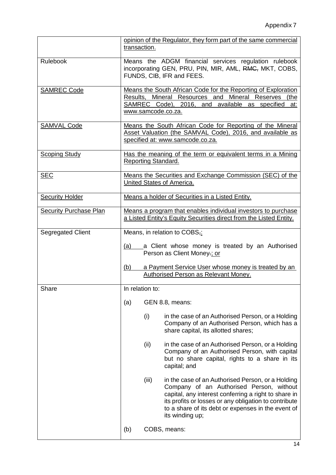|                               | transaction.    | opinion of the Regulator, they form part of the same commercial                                                                                                                                                                                                                         |
|-------------------------------|-----------------|-----------------------------------------------------------------------------------------------------------------------------------------------------------------------------------------------------------------------------------------------------------------------------------------|
| Rulebook                      |                 | Means the ADGM financial services regulation rulebook<br>incorporating GEN, PRU, PIN, MIR, AML, RMC, MKT, COBS,<br>FUNDS, CIB, IFR and FEES.                                                                                                                                            |
| <b>SAMREC Code</b>            |                 | Means the South African Code for the Reporting of Exploration<br>Results, Mineral Resources and Mineral Reserves (the<br>SAMREC Code), 2016, and available as specified at:<br>www.samcode.co.za.                                                                                       |
| <b>SAMVAL Code</b>            |                 | Means the South African Code for Reporting of the Mineral<br>Asset Valuation (the SAMVAL Code), 2016, and available as<br>specified at: www.samcode.co.za.                                                                                                                              |
| <b>Scoping Study</b>          |                 | Has the meaning of the term or equivalent terms in a Mining<br>Reporting Standard.                                                                                                                                                                                                      |
| <b>SEC</b>                    |                 | Means the Securities and Exchange Commission (SEC) of the<br>United States of America.                                                                                                                                                                                                  |
| <b>Security Holder</b>        |                 | Means a holder of Securities in a Listed Entity.                                                                                                                                                                                                                                        |
| <b>Security Purchase Plan</b> |                 | Means a program that enables individual investors to purchase<br>a Listed Entity's Equity Securities direct from the Listed Entity.                                                                                                                                                     |
| Segregated Client             |                 | Means, in relation to COBS,:                                                                                                                                                                                                                                                            |
|                               | (a)             | a Client whose money is treated by an Authorised<br>Person as Client Money-; or                                                                                                                                                                                                         |
|                               | (b)             | a Payment Service User whose money is treated by an<br>Authorised Person as Relevant Money.                                                                                                                                                                                             |
| Share                         | In relation to: |                                                                                                                                                                                                                                                                                         |
|                               | (a)             | GEN 8.8, means:                                                                                                                                                                                                                                                                         |
|                               | (i)             | in the case of an Authorised Person, or a Holding<br>Company of an Authorised Person, which has a<br>share capital, its allotted shares;                                                                                                                                                |
|                               | (ii)            | in the case of an Authorised Person, or a Holding<br>Company of an Authorised Person, with capital<br>but no share capital, rights to a share in its<br>capital; and                                                                                                                    |
|                               | (iii)           | in the case of an Authorised Person, or a Holding<br>Company of an Authorised Person, without<br>capital, any interest conferring a right to share in<br>its profits or losses or any obligation to contribute<br>to a share of its debt or expenses in the event of<br>its winding up; |
|                               | (b)             | COBS, means:                                                                                                                                                                                                                                                                            |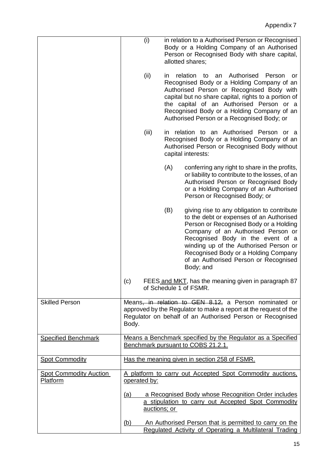|                                           | (i)                 |                                                           | in relation to a Authorised Person or Recognised<br>Body or a Holding Company of an Authorised<br>Person or Recognised Body with share capital,<br>allotted shares;                                                                                                                                                                                  |  |  |
|-------------------------------------------|---------------------|-----------------------------------------------------------|------------------------------------------------------------------------------------------------------------------------------------------------------------------------------------------------------------------------------------------------------------------------------------------------------------------------------------------------------|--|--|
|                                           | (ii)                | ın                                                        | Authorised<br>relation<br>to<br>Person<br>an<br>or<br>Recognised Body or a Holding Company of an<br>Authorised Person or Recognised Body with<br>capital but no share capital, rights to a portion of<br>the capital of an Authorised Person or a<br>Recognised Body or a Holding Company of an<br>Authorised Person or a Recognised Body; or        |  |  |
|                                           | (iii)               |                                                           | in relation to an Authorised Person or a<br>Recognised Body or a Holding Company of an<br>Authorised Person or Recognised Body without<br>capital interests:                                                                                                                                                                                         |  |  |
|                                           |                     | (A)                                                       | conferring any right to share in the profits,<br>or liability to contribute to the losses, of an<br>Authorised Person or Recognised Body<br>or a Holding Company of an Authorised<br>Person or Recognised Body; or                                                                                                                                   |  |  |
|                                           |                     | (B)                                                       | giving rise to any obligation to contribute<br>to the debt or expenses of an Authorised<br>Person or Recognised Body or a Holding<br>Company of an Authorised Person or<br>Recognised Body in the event of a<br>winding up of the Authorised Person or<br>Recognised Body or a Holding Company<br>of an Authorised Person or Recognised<br>Body; and |  |  |
|                                           | (c)                 |                                                           | FEES and MKT, has the meaning given in paragraph 87<br>of Schedule 1 of FSMR.                                                                                                                                                                                                                                                                        |  |  |
| <b>Skilled Person</b>                     | Body.               |                                                           | Means <del>, in relation to GEN 8.12,</del> a Person nominated or<br>approved by the Regulator to make a report at the request of the<br>Regulator on behalf of an Authorised Person or Recognised                                                                                                                                                   |  |  |
| <b>Specified Benchmark</b>                |                     |                                                           | Means a Benchmark specified by the Regulator as a Specified<br>Benchmark pursuant to COBS 21.2.1.                                                                                                                                                                                                                                                    |  |  |
| <b>Spot Commodity</b>                     |                     |                                                           | Has the meaning given in section 258 of FSMR.                                                                                                                                                                                                                                                                                                        |  |  |
| <b>Spot Commodity Auction</b><br>Platform | operated by:        | A platform to carry out Accepted Spot Commodity auctions, |                                                                                                                                                                                                                                                                                                                                                      |  |  |
|                                           | (a)<br>auctions; or |                                                           | a Recognised Body whose Recognition Order includes<br>a stipulation to carry out Accepted Spot Commodity                                                                                                                                                                                                                                             |  |  |
|                                           | (b)                 |                                                           | An Authorised Person that is permitted to carry on the<br>Regulated Activity of Operating a Multilateral Trading                                                                                                                                                                                                                                     |  |  |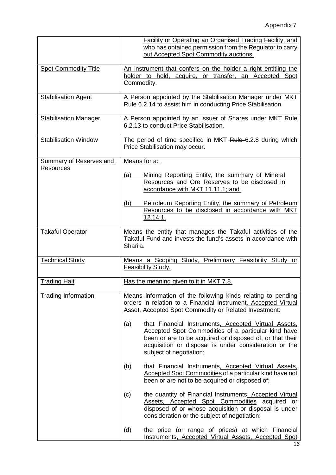|                                | Facility or Operating an Organised Trading Facility, and<br>who has obtained permission from the Regulator to carry<br>out Accepted Spot Commodity auctions.                                                                                                       |  |  |
|--------------------------------|--------------------------------------------------------------------------------------------------------------------------------------------------------------------------------------------------------------------------------------------------------------------|--|--|
| <b>Spot Commodity Title</b>    | An instrument that confers on the holder a right entitling the<br>holder to hold, acquire, or transfer, an Accepted Spot<br>Commodity.                                                                                                                             |  |  |
| <b>Stabilisation Agent</b>     | A Person appointed by the Stabilisation Manager under MKT<br>Rule 6.2.14 to assist him in conducting Price Stabilisation.                                                                                                                                          |  |  |
| <b>Stabilisation Manager</b>   | A Person appointed by an Issuer of Shares under MKT Rule<br>6.2.13 to conduct Price Stabilisation.                                                                                                                                                                 |  |  |
| <b>Stabilisation Window</b>    | The period of time specified in MKT Rule-6.2.8 during which<br>Price Stabilisation may occur.                                                                                                                                                                      |  |  |
| <b>Summary of Reserves and</b> | Means for a:                                                                                                                                                                                                                                                       |  |  |
| <b>Resources</b>               | Mining Reporting Entity, the summary of Mineral<br>(a)<br>Resources and Ore Reserves to be disclosed in<br>accordance with MKT 11.11.1; and                                                                                                                        |  |  |
|                                | Petroleum Reporting Entity, the summary of Petroleum<br>(b)<br>Resources to be disclosed in accordance with MKT<br>12.14.1.                                                                                                                                        |  |  |
| <b>Takaful Operator</b>        | Means the entity that manages the Takaful activities of the<br>Takaful Fund and invests the fund's assets in accordance with<br>Shari'a.                                                                                                                           |  |  |
| <b>Technical Study</b>         | Study, Preliminary Feasibility Study or<br>Means a Scoping<br><b>Feasibility Study.</b>                                                                                                                                                                            |  |  |
| <b>Trading Halt</b>            | Has the meaning given to it in MKT 7.8.                                                                                                                                                                                                                            |  |  |
| <b>Trading Information</b>     | Means information of the following kinds relating to pending<br>orders in relation to a Financial Instrument, Accepted Virtual<br><b>Asset, Accepted Spot Commodity or Related Investment:</b>                                                                     |  |  |
|                                | (a)<br>that Financial Instruments, Accepted Virtual Assets,<br>Accepted Spot Commodities of a particular kind have<br>been or are to be acquired or disposed of, or that their<br>acquisition or disposal is under consideration or the<br>subject of negotiation; |  |  |
|                                | that Financial Instruments, Accepted Virtual Assets,<br>(b)<br>Accepted Spot Commodities of a particular kind have not<br>been or are not to be acquired or disposed of;                                                                                           |  |  |
|                                | the quantity of Financial Instruments, Accepted Virtual<br>(c)<br>Assets, Accepted Spot Commodities acquired or<br>disposed of or whose acquisition or disposal is under<br>consideration or the subject of negotiation;                                           |  |  |
|                                | (d)<br>the price (or range of prices) at which Financial<br>Instruments, Accepted Virtual Assets, Accepted Spot                                                                                                                                                    |  |  |